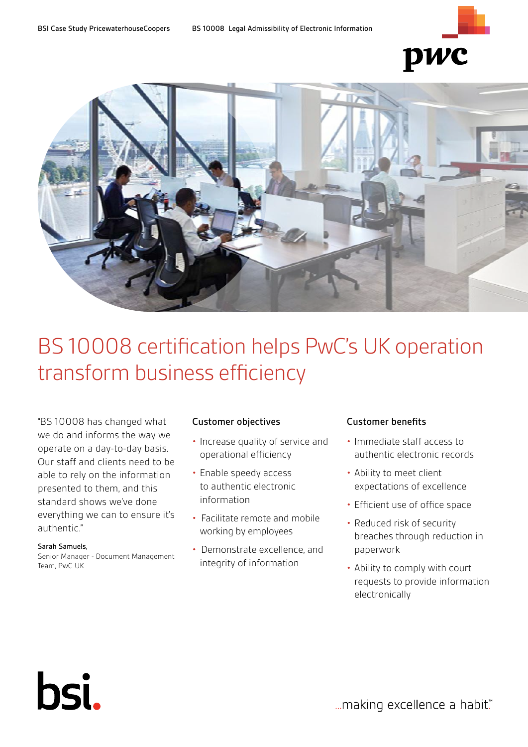



# BS 10008 certification helps PwC's UK operation transform business efficiency

"BS 10008 has changed what we do and informs the way we operate on a day-to-day basis. Our staff and clients need to be able to rely on the information presented to them, and this standard shows we've done everything we can to ensure it's authentic."

## Sarah Samuels,

bsi.

Senior Manager - Document Management Team, PwC UK

# Customer objectives

- Increase quality of service and operational efficiency
- Enable speedy access to authentic electronic information
- Facilitate remote and mobile working by employees
- Demonstrate excellence, and integrity of information

# Customer benefits

- Immediate staff access to authentic electronic records
- Ability to meet client expectations of excellence
- Efficient use of office space
- Reduced risk of security breaches through reduction in paperwork
- Ability to comply with court requests to provide information electronically

... making excellence a habit."